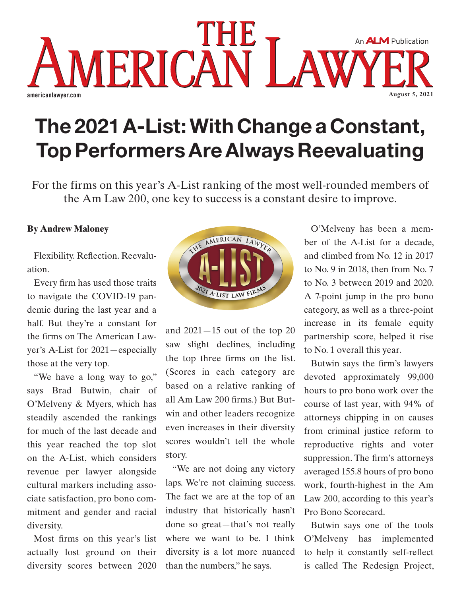americanlawyer.com **August 5, 2021**

## The 2021 A-List: With Change a Constant, Top Performers Are Always Reevaluating

MERICAN LAW

For the firms on this year's A-List ranking of the most well-rounded members of the Am Law 200, one key to success is a constant desire to improve.

## **By Andrew Maloney**

Flexibility. Reflection. Reevaluation.

Every firm has used those traits to navigate the COVID-19 pandemic during the last year and a half. But they're a constant for the firms on The American Lawyer's A-List for 2021—especially those at the very top.

"We have a long way to go," says Brad Butwin, chair of O'Melveny & Myers, which has steadily ascended the rankings for much of the last decade and this year reached the top slot on the A-List, which considers revenue per lawyer alongside cultural markers including associate satisfaction, pro bono commitment and gender and racial diversity.

Most firms on this year's list actually lost ground on their diversity scores between 2020



and  $2021 - 15$  out of the top 20 saw slight declines, including the top three firms on the list. (Scores in each category are based on a relative ranking of all Am Law 200 firms.) But Butwin and other leaders recognize even increases in their diversity scores wouldn't tell the whole story.

"We are not doing any victory laps. We're not claiming success. The fact we are at the top of an industry that historically hasn't done so great—that's not really where we want to be. I think diversity is a lot more nuanced than the numbers," he says.

O'Melveny has been a member of the A-List for a decade, and climbed from No. 12 in 2017 to No. 9 in 2018, then from No. 7 to No. 3 between 2019 and 2020. A 7-point jump in the pro bono category, as well as a three-point increase in its female equity partnership score, helped it rise to No. 1 overall this year.

An **ALM** Publication

Butwin says the firm's lawyers devoted approximately 99,000 hours to pro bono work over the course of last year, with 94% of attorneys chipping in on causes from criminal justice reform to reproductive rights and voter suppression. The firm's attorneys averaged 155.8 hours of pro bono work, fourth-highest in the Am Law 200, according to this year's Pro Bono Scorecard.

Butwin says one of the tools O'Melveny has implemented to help it constantly self-reflect is called The Redesign Project,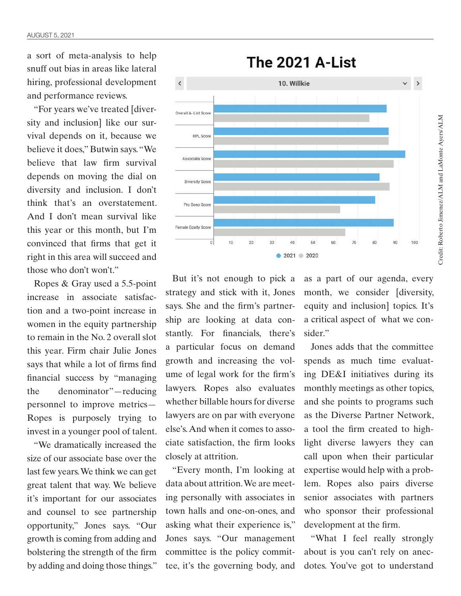a sort of meta-analysis to help snuff out bias in areas like lateral hiring, professional development and performance reviews.

"For years we've treated [diversity and inclusion] like our survival depends on it, because we believe it does," Butwin says. "We believe that law firm survival depends on moving the dial on diversity and inclusion. I don't think that's an overstatement. And I don't mean survival like this year or this month, but I'm convinced that firms that get it right in this area will succeed and those who don't won't."

Ropes & Gray used a 5.5-point increase in associate satisfaction and a two-point increase in women in the equity partnership to remain in the No. 2 overall slot this year. Firm chair Julie Jones says that while a lot of firms find financial success by "managing the denominator"—reducing personnel to improve metrics— Ropes is purposely trying to invest in a younger pool of talent.

"We dramatically increased the size of our associate base over the last few years. We think we can get great talent that way. We believe it's important for our associates and counsel to see partnership opportunity," Jones says. "Our growth is coming from adding and bolstering the strength of the firm by adding and doing those things."



But it's not enough to pick a strategy and stick with it, Jones says. She and the firm's partnership are looking at data constantly. For financials, there's a particular focus on demand growth and increasing the volume of legal work for the firm's lawyers. Ropes also evaluates whether billable hours for diverse lawyers are on par with everyone else's. And when it comes to associate satisfaction, the firm looks closely at attrition.

"Every month, I'm looking at data about attrition. We are meeting personally with associates in town halls and one-on-ones, and asking what their experience is," Jones says. "Our management committee is the policy committee, it's the governing body, and

as a part of our agenda, every month, we consider [diversity, equity and inclusion] topics. It's a critical aspect of what we consider."

Jones adds that the committee spends as much time evaluating DE&I initiatives during its monthly meetings as other topics, and she points to programs such as the Diverse Partner Network, a tool the firm created to highlight diverse lawyers they can call upon when their particular expertise would help with a problem. Ropes also pairs diverse senior associates with partners who sponsor their professional development at the firm.

"What I feel really strongly about is you can't rely on anecdotes. You've got to understand